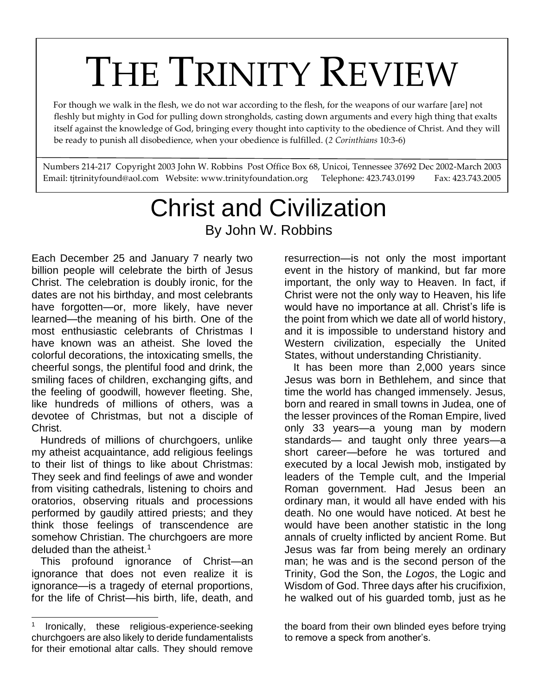# THE TRINITY REVIEW

 For though we walk in the flesh, we do not war according to the flesh, for the weapons of our warfare [are] not fleshly but mighty in God for pulling down strongholds, casting down arguments and every high thing that exalts itself against the knowledge of God, bringing every thought into captivity to the obedience of Christ. And they will be ready to punish all disobedience, when your obedience is fulfilled. (*2 Corinthians* 10:3-6)

Numbers 214-217 Copyright 2003 John W. Robbins Post Office Box 68, Unicoi, Tennessee 37692 Dec 2002-March 2003 Email: tjtrinityfound@aol.com Website: www.trinityfoundation.org Telephone: 423.743.0199 Fax: 423.743.2005

# Christ and Civilization By John W. Robbins

Each December 25 and January 7 nearly two billion people will celebrate the birth of Jesus Christ. The celebration is doubly ironic, for the dates are not his birthday, and most celebrants have forgotten—or, more likely, have never learned—the meaning of his birth. One of the most enthusiastic celebrants of Christmas I have known was an atheist. She loved the colorful decorations, the intoxicating smells, the cheerful songs, the plentiful food and drink, the smiling faces of children, exchanging gifts, and the feeling of goodwill, however fleeting. She, like hundreds of millions of others, was a devotee of Christmas, but not a disciple of Christ.

 Hundreds of millions of churchgoers, unlike my atheist acquaintance, add religious feelings to their list of things to like about Christmas: They seek and find feelings of awe and wonder from visiting cathedrals, listening to choirs and oratorios, observing rituals and processions performed by gaudily attired priests; and they think those feelings of transcendence are somehow Christian. The churchgoers are more deluded than the atheist.<sup>1</sup>

 This profound ignorance of Christ—an ignorance that does not even realize it is ignorance—is a tragedy of eternal proportions, for the life of Christ—his birth, life, death, and

resurrection—is not only the most important event in the history of mankind, but far more important, the only way to Heaven. In fact, if Christ were not the only way to Heaven, his life would have no importance at all. Christ's life is the point from which we date all of world history, and it is impossible to understand history and Western civilization, especially the United States, without understanding Christianity.

 It has been more than 2,000 years since Jesus was born in Bethlehem, and since that time the world has changed immensely. Jesus, born and reared in small towns in Judea, one of the lesser provinces of the Roman Empire, lived only 33 years—a young man by modern standards— and taught only three years—a short career—before he was tortured and executed by a local Jewish mob, instigated by leaders of the Temple cult, and the Imperial Roman government. Had Jesus been an ordinary man, it would all have ended with his death. No one would have noticed. At best he would have been another statistic in the long annals of cruelty inflicted by ancient Rome. But Jesus was far from being merely an ordinary man; he was and is the second person of the Trinity, God the Son, the *Logos*, the Logic and Wisdom of God. Three days after his crucifixion, he walked out of his guarded tomb, just as he

#### the board from their own blinded eyes before trying to remove a speck from another's.

<sup>1</sup> Ironically, these religious-experience-seeking churchgoers are also likely to deride fundamentalists for their emotional altar calls. They should remove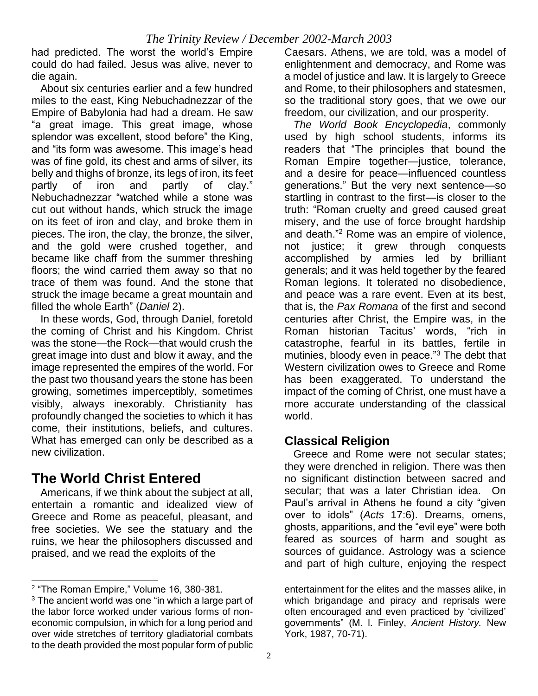had predicted. The worst the world's Empire could do had failed. Jesus was alive, never to die again.

 About six centuries earlier and a few hundred miles to the east, King Nebuchadnezzar of the Empire of Babylonia had had a dream. He saw "a great image. This great image, whose splendor was excellent, stood before" the King, and "its form was awesome. This image's head was of fine gold, its chest and arms of silver, its belly and thighs of bronze, its legs of iron, its feet partly of iron and partly of clay." Nebuchadnezzar "watched while a stone was cut out without hands, which struck the image on its feet of iron and clay, and broke them in pieces. The iron, the clay, the bronze, the silver, and the gold were crushed together, and became like chaff from the summer threshing floors; the wind carried them away so that no trace of them was found. And the stone that struck the image became a great mountain and filled the whole Earth" (*Daniel* 2).

 In these words, God, through Daniel, foretold the coming of Christ and his Kingdom. Christ was the stone—the Rock—that would crush the great image into dust and blow it away, and the image represented the empires of the world. For the past two thousand years the stone has been growing, sometimes imperceptibly, sometimes visibly, always inexorably. Christianity has profoundly changed the societies to which it has come, their institutions, beliefs, and cultures. What has emerged can only be described as a new civilization.

# **The World Christ Entered**

 Americans, if we think about the subject at all, entertain a romantic and idealized view of Greece and Rome as peaceful, pleasant, and free societies. We see the statuary and the ruins, we hear the philosophers discussed and praised, and we read the exploits of the

Caesars. Athens, we are told, was a model of enlightenment and democracy, and Rome was a model of justice and law. It is largely to Greece and Rome, to their philosophers and statesmen, so the traditional story goes, that we owe our freedom, our civilization, and our prosperity.

 *The World Book Encyclopedia*, commonly used by high school students, informs its readers that "The principles that bound the Roman Empire together—justice, tolerance, and a desire for peace—influenced countless generations." But the very next sentence—so startling in contrast to the first—is closer to the truth: "Roman cruelty and greed caused great misery, and the use of force brought hardship and death."<sup>2</sup> Rome was an empire of violence, not justice; it grew through conquests accomplished by armies led by brilliant generals; and it was held together by the feared Roman legions. It tolerated no disobedience, and peace was a rare event. Even at its best, that is, the *Pax Romana* of the first and second centuries after Christ, the Empire was, in the Roman historian Tacitus' words, "rich in catastrophe, fearful in its battles, fertile in mutinies, bloody even in peace."<sup>3</sup> The debt that Western civilization owes to Greece and Rome has been exaggerated. To understand the impact of the coming of Christ, one must have a more accurate understanding of the classical world.

# **Classical Religion**

 Greece and Rome were not secular states; they were drenched in religion. There was then no significant distinction between sacred and secular; that was a later Christian idea. On Paul's arrival in Athens he found a city "given over to idols" (*Acts* 17:6). Dreams, omens, ghosts, apparitions, and the "evil eye" were both feared as sources of harm and sought as sources of guidance. Astrology was a science and part of high culture, enjoying the respect

<sup>&</sup>lt;sup>2</sup> "The Roman Empire," Volume 16, 380-381.

 $3$  The ancient world was one "in which a large part of the labor force worked under various forms of noneconomic compulsion, in which for a long period and over wide stretches of territory gladiatorial combats to the death provided the most popular form of public

entertainment for the elites and the masses alike, in which brigandage and piracy and reprisals were often encouraged and even practiced by 'civilized' governments" (M. l. Finley, *Ancient History.* New York, 1987, 70-71).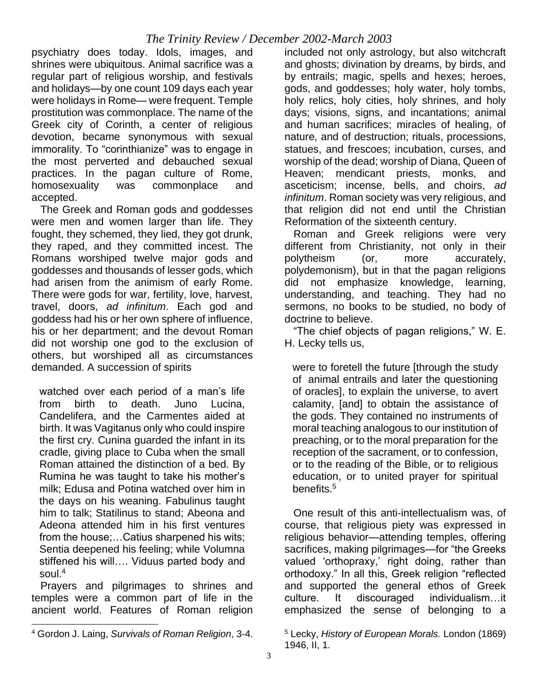psychiatry does today. Idols, images, and shrines were ubiquitous. Animal sacrifice was a regular part of religious worship, and festivals and holidays—by one count 109 days each year were holidays in Rome— were frequent. Temple prostitution was commonplace. The name of the Greek city of Corinth, a center of religious devotion, became synonymous with sexual immorality. To "corinthianize" was to engage in the most perverted and debauched sexual practices. In the pagan culture of Rome, homosexuality was commonplace and accepted.

 The Greek and Roman gods and goddesses were men and women larger than life. They fought, they schemed, they lied, they got drunk, they raped, and they committed incest. The Romans worshiped twelve major gods and goddesses and thousands of lesser gods, which had arisen from the animism of early Rome. There were gods for war, fertility, love, harvest, travel, doors, *ad infinitum*. Each god and goddess had his or her own sphere of influence, his or her department; and the devout Roman did not worship one god to the exclusion of others, but worshiped all as circumstances demanded. A succession of spirits

watched over each period of a man's life from birth to death. Juno Lucina, Candelifera, and the Carmentes aided at birth. It was Vagitanus only who could inspire the first cry. Cunina guarded the infant in its cradle, giving place to Cuba when the small Roman attained the distinction of a bed. By Rumina he was taught to take his mother's milk; Edusa and Potina watched over him in the days on his weaning. Fabulinus taught him to talk; Statilinus to stand; Abeona and Adeona attended him in his first ventures from the house;…Catius sharpened his wits; Sentia deepened his feeling; while Volumna stiffened his will…. Viduus parted body and soul. $4$ 

 Prayers and pilgrimages to shrines and temples were a common part of life in the ancient world. Features of Roman religion included not only astrology, but also witchcraft and ghosts; divination by dreams, by birds, and by entrails; magic, spells and hexes; heroes, gods, and goddesses; holy water, holy tombs, holy relics, holy cities, holy shrines, and holy days; visions, signs, and incantations; animal and human sacrifices; miracles of healing, of nature, and of destruction; rituals, processions, statues, and frescoes; incubation, curses, and worship of the dead; worship of Diana, Queen of Heaven; mendicant priests, monks, and asceticism; incense, bells, and choirs, *ad infinitum*. Roman society was very religious, and that religion did not end until the Christian Reformation of the sixteenth century.

 Roman and Greek religions were very different from Christianity, not only in their polytheism (or, more accurately, polydemonism), but in that the pagan religions did not emphasize knowledge, learning, understanding, and teaching. They had no sermons, no books to be studied, no body of doctrine to believe.

 "The chief objects of pagan religions," W. E. H. Lecky tells us,

were to foretell the future [through the study of animal entrails and later the questioning of oracles], to explain the universe, to avert calamity, [and] to obtain the assistance of the gods. They contained no instruments of moral teaching analogous to our institution of preaching, or to the moral preparation for the reception of the sacrament, or to confession, or to the reading of the Bible, or to religious education, or to united prayer for spiritual benefits.<sup>5</sup>

 One result of this anti-intellectualism was, of course, that religious piety was expressed in religious behavior—attending temples, offering sacrifices, making pilgrimages—for "the Greeks valued 'orthopraxy,' right doing, rather than orthodoxy." In all this, Greek religion "reflected and supported the general ethos of Greek culture. It discouraged individualism…it emphasized the sense of belonging to a

<sup>5</sup> Lecky, *History of European Morals.* London (1869) 1946, II, 1.

<sup>4</sup> Gordon J. Laing, *Survivals of Roman Religion*, 3-4.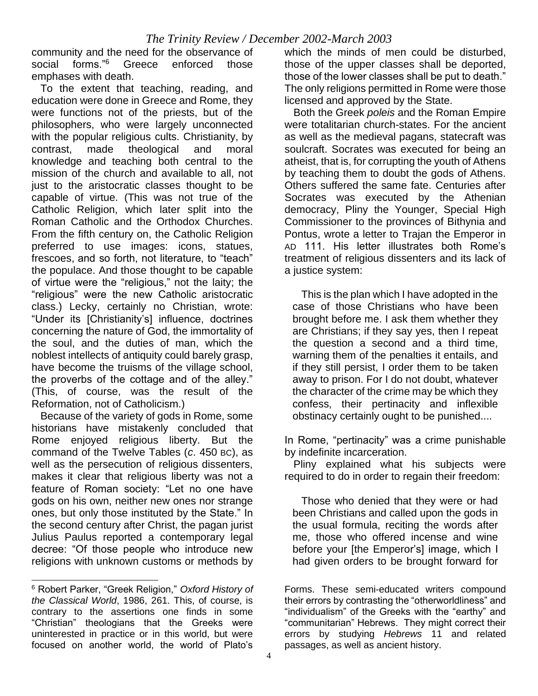community and the need for the observance of social forms."<sup>6</sup> Greece enforced those emphases with death.

 To the extent that teaching, reading, and education were done in Greece and Rome, they were functions not of the priests, but of the philosophers, who were largely unconnected with the popular religious cults. Christianity, by contrast, made theological and moral knowledge and teaching both central to the mission of the church and available to all, not just to the aristocratic classes thought to be capable of virtue. (This was not true of the Catholic Religion, which later split into the Roman Catholic and the Orthodox Churches. From the fifth century on, the Catholic Religion preferred to use images: icons, statues, frescoes, and so forth, not literature, to "teach" the populace. And those thought to be capable of virtue were the "religious," not the laity; the "religious" were the new Catholic aristocratic class.) Lecky, certainly no Christian, wrote: "Under its [Christianity's] influence, doctrines concerning the nature of God, the immortality of the soul, and the duties of man, which the noblest intellects of antiquity could barely grasp, have become the truisms of the village school, the proverbs of the cottage and of the alley." (This, of course, was the result of the Reformation, not of Catholicism.)

 Because of the variety of gods in Rome, some historians have mistakenly concluded that Rome enjoyed religious liberty. But the command of the Twelve Tables (*c*. 450 BC), as well as the persecution of religious dissenters, makes it clear that religious liberty was not a feature of Roman society: "Let no one have gods on his own, neither new ones nor strange ones, but only those instituted by the State." In the second century after Christ, the pagan jurist Julius Paulus reported a contemporary legal decree: "Of those people who introduce new religions with unknown customs or methods by

which the minds of men could be disturbed, those of the upper classes shall be deported, those of the lower classes shall be put to death." The only religions permitted in Rome were those licensed and approved by the State.

 Both the Greek *poleis* and the Roman Empire were totalitarian church-states. For the ancient as well as the medieval pagans, statecraft was soulcraft. Socrates was executed for being an atheist, that is, for corrupting the youth of Athens by teaching them to doubt the gods of Athens. Others suffered the same fate. Centuries after Socrates was executed by the Athenian democracy, Pliny the Younger, Special High Commissioner to the provinces of Bithynia and Pontus, wrote a letter to Trajan the Emperor in AD 111. His letter illustrates both Rome's treatment of religious dissenters and its lack of a justice system:

 This is the plan which I have adopted in the case of those Christians who have been brought before me. I ask them whether they are Christians; if they say yes, then I repeat the question a second and a third time, warning them of the penalties it entails, and if they still persist, I order them to be taken away to prison. For I do not doubt, whatever the character of the crime may be which they confess, their pertinacity and inflexible obstinacy certainly ought to be punished....

In Rome, "pertinacity" was a crime punishable by indefinite incarceration.

 Pliny explained what his subjects were required to do in order to regain their freedom:

 Those who denied that they were or had been Christians and called upon the gods in the usual formula, reciting the words after me, those who offered incense and wine before your [the Emperor's] image, which I had given orders to be brought forward for

<sup>6</sup> Robert Parker, "Greek Religion," *Oxford History of the Classical World*, 1986, 261. This, of course, is contrary to the assertions one finds in some "Christian" theologians that the Greeks were uninterested in practice or in this world, but were focused on another world, the world of Plato's

Forms. These semi-educated writers compound their errors by contrasting the "otherworldliness" and "individualism" of the Greeks with the "earthy" and "communitarian" Hebrews. They might correct their errors by studying *Hebrews* 11 and related passages, as well as ancient history.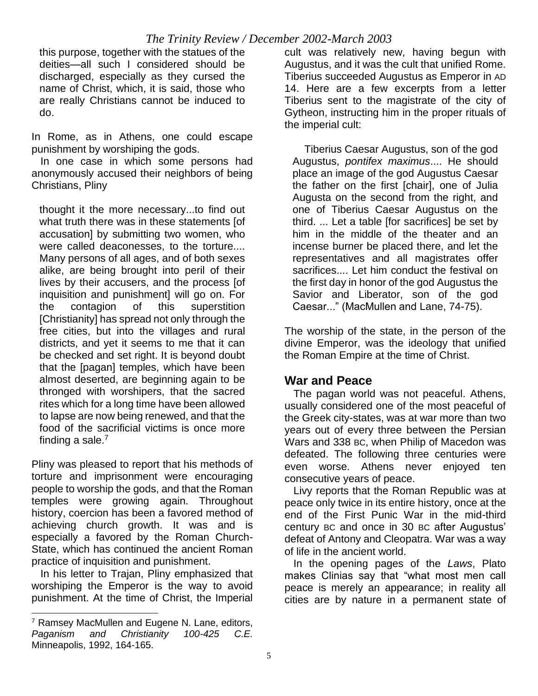this purpose, together with the statues of the deities—all such I considered should be discharged, especially as they cursed the name of Christ, which, it is said, those who are really Christians cannot be induced to do.

In Rome, as in Athens, one could escape punishment by worshiping the gods.

 In one case in which some persons had anonymously accused their neighbors of being Christians, Pliny

thought it the more necessary...to find out what truth there was in these statements [of accusation] by submitting two women, who were called deaconesses, to the torture.... Many persons of all ages, and of both sexes alike, are being brought into peril of their lives by their accusers, and the process [of inquisition and punishment] will go on. For the contagion of this superstition [Christianity] has spread not only through the free cities, but into the villages and rural districts, and yet it seems to me that it can be checked and set right. It is beyond doubt that the [pagan] temples, which have been almost deserted, are beginning again to be thronged with worshipers, that the sacred rites which for a long time have been allowed to lapse are now being renewed, and that the food of the sacrificial victims is once more finding a sale.<sup>7</sup>

Pliny was pleased to report that his methods of torture and imprisonment were encouraging people to worship the gods, and that the Roman temples were growing again. Throughout history, coercion has been a favored method of achieving church growth. It was and is especially a favored by the Roman Church-State, which has continued the ancient Roman practice of inquisition and punishment.

 In his letter to Trajan, Pliny emphasized that worshiping the Emperor is the way to avoid punishment. At the time of Christ, the Imperial cult was relatively new, having begun with Augustus, and it was the cult that unified Rome. Tiberius succeeded Augustus as Emperor in AD 14. Here are a few excerpts from a letter Tiberius sent to the magistrate of the city of Gytheon, instructing him in the proper rituals of the imperial cult:

 Tiberius Caesar Augustus, son of the god Augustus, *pontifex maximus*.... He should place an image of the god Augustus Caesar the father on the first [chair], one of Julia Augusta on the second from the right, and one of Tiberius Caesar Augustus on the third. ... Let a table [for sacrifices] be set by him in the middle of the theater and an incense burner be placed there, and let the representatives and all magistrates offer sacrifices.... Let him conduct the festival on the first day in honor of the god Augustus the Savior and Liberator, son of the god Caesar..." (MacMullen and Lane, 74-75).

The worship of the state, in the person of the divine Emperor, was the ideology that unified the Roman Empire at the time of Christ.

#### **War and Peace**

 The pagan world was not peaceful. Athens, usually considered one of the most peaceful of the Greek city-states, was at war more than two years out of every three between the Persian Wars and 338 BC, when Philip of Macedon was defeated. The following three centuries were even worse. Athens never enjoyed ten consecutive years of peace.

 Livy reports that the Roman Republic was at peace only twice in its entire history, once at the end of the First Punic War in the mid-third century BC and once in 30 BC after Augustus' defeat of Antony and Cleopatra. War was a way of life in the ancient world.

 In the opening pages of the *Laws*, Plato makes Clinias say that "what most men call peace is merely an appearance; in reality all cities are by nature in a permanent state of

<sup>&</sup>lt;sup>7</sup> Ramsey MacMullen and Eugene N. Lane, editors, *Paganism and Christianity 100-425 C.E.* Minneapolis, 1992, 164-165.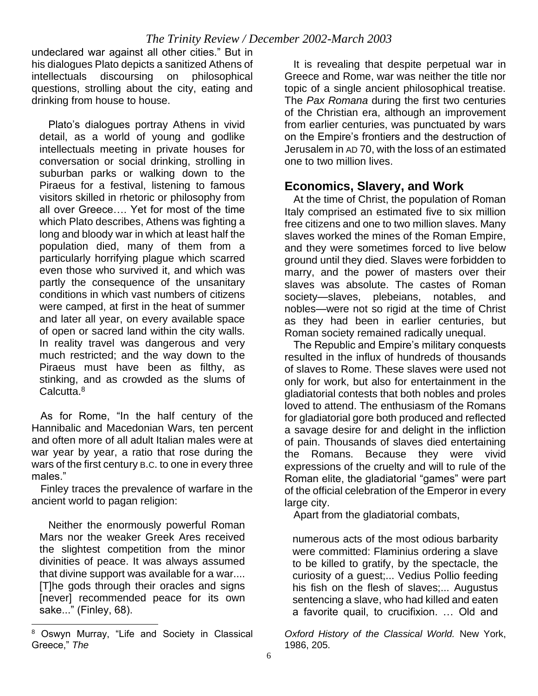undeclared war against all other cities." But in his dialogues Plato depicts a sanitized Athens of intellectuals discoursing on philosophical questions, strolling about the city, eating and drinking from house to house.

 Plato's dialogues portray Athens in vivid detail, as a world of young and godlike intellectuals meeting in private houses for conversation or social drinking, strolling in suburban parks or walking down to the Piraeus for a festival, listening to famous visitors skilled in rhetoric or philosophy from all over Greece…. Yet for most of the time which Plato describes, Athens was fighting a long and bloody war in which at least half the population died, many of them from a particularly horrifying plague which scarred even those who survived it, and which was partly the consequence of the unsanitary conditions in which vast numbers of citizens were camped, at first in the heat of summer and later all year, on every available space of open or sacred land within the city walls. In reality travel was dangerous and very much restricted; and the way down to the Piraeus must have been as filthy, as stinking, and as crowded as the slums of Calcutta.<sup>8</sup>

 As for Rome, "In the half century of the Hannibalic and Macedonian Wars, ten percent and often more of all adult Italian males were at war year by year, a ratio that rose during the wars of the first century B.C. to one in every three males."

 Finley traces the prevalence of warfare in the ancient world to pagan religion:

 Neither the enormously powerful Roman Mars nor the weaker Greek Ares received the slightest competition from the minor divinities of peace. It was always assumed that divine support was available for a war.... [T]he gods through their oracles and signs [never] recommended peace for its own sake..." (Finley, 68).

 It is revealing that despite perpetual war in Greece and Rome, war was neither the title nor topic of a single ancient philosophical treatise. The *Pax Romana* during the first two centuries of the Christian era, although an improvement from earlier centuries, was punctuated by wars on the Empire's frontiers and the destruction of Jerusalem in AD 70, with the loss of an estimated one to two million lives.

#### **Economics, Slavery, and Work**

 At the time of Christ, the population of Roman Italy comprised an estimated five to six million free citizens and one to two million slaves. Many slaves worked the mines of the Roman Empire, and they were sometimes forced to live below ground until they died. Slaves were forbidden to marry, and the power of masters over their slaves was absolute. The castes of Roman society—slaves, plebeians, notables, and nobles—were not so rigid at the time of Christ as they had been in earlier centuries, but Roman society remained radically unequal.

 The Republic and Empire's military conquests resulted in the influx of hundreds of thousands of slaves to Rome. These slaves were used not only for work, but also for entertainment in the gladiatorial contests that both nobles and proles loved to attend. The enthusiasm of the Romans for gladiatorial gore both produced and reflected a savage desire for and delight in the infliction of pain. Thousands of slaves died entertaining the Romans. Because they were vivid expressions of the cruelty and will to rule of the Roman elite, the gladiatorial "games" were part of the official celebration of the Emperor in every large city.

Apart from the gladiatorial combats,

numerous acts of the most odious barbarity were committed: Flaminius ordering a slave to be killed to gratify, by the spectacle, the curiosity of a guest;... Vedius Pollio feeding his fish on the flesh of slaves;... Augustus sentencing a slave, who had killed and eaten a favorite quail, to crucifixion. … Old and

*Oxford History of the Classical World.* New York, 1986, 205.

<sup>8</sup> Oswyn Murray, "Life and Society in Classical Greece," *The*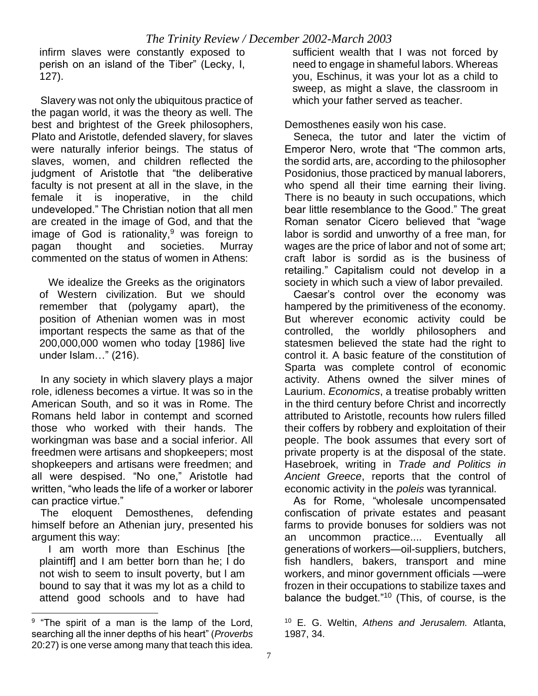infirm slaves were constantly exposed to perish on an island of the Tiber" (Lecky, I, 127).

 Slavery was not only the ubiquitous practice of the pagan world, it was the theory as well. The best and brightest of the Greek philosophers, Plato and Aristotle, defended slavery, for slaves were naturally inferior beings. The status of slaves, women, and children reflected the judgment of Aristotle that "the deliberative faculty is not present at all in the slave, in the female it is inoperative, in the child undeveloped." The Christian notion that all men are created in the image of God, and that the image of God is rationality, $9$  was foreign to pagan thought and societies. Murray commented on the status of women in Athens:

 We idealize the Greeks as the originators of Western civilization. But we should remember that (polygamy apart), the position of Athenian women was in most important respects the same as that of the 200,000,000 women who today [1986] live under Islam…" (216).

 In any society in which slavery plays a major role, idleness becomes a virtue. It was so in the American South, and so it was in Rome. The Romans held labor in contempt and scorned those who worked with their hands. The workingman was base and a social inferior. All freedmen were artisans and shopkeepers; most shopkeepers and artisans were freedmen; and all were despised. "No one," Aristotle had written, "who leads the life of a worker or laborer can practice virtue."

 The eloquent Demosthenes, defending himself before an Athenian jury, presented his argument this way:

 I am worth more than Eschinus [the plaintiff] and I am better born than he; I do not wish to seem to insult poverty, but l am bound to say that it was my lot as a child to attend good schools and to have had sufficient wealth that I was not forced by need to engage in shameful labors. Whereas you, Eschinus, it was your lot as a child to sweep, as might a slave, the classroom in which your father served as teacher.

Demosthenes easily won his case.

 Seneca, the tutor and later the victim of Emperor Nero, wrote that "The common arts, the sordid arts, are, according to the philosopher Posidonius, those practiced by manual laborers, who spend all their time earning their living. There is no beauty in such occupations, which bear little resemblance to the Good." The great Roman senator Cicero believed that "wage labor is sordid and unworthy of a free man, for wages are the price of labor and not of some art; craft labor is sordid as is the business of retailing." Capitalism could not develop in a society in which such a view of labor prevailed.

 Caesar's control over the economy was hampered by the primitiveness of the economy. But wherever economic activity could be controlled, the worldly philosophers and statesmen believed the state had the right to control it. A basic feature of the constitution of Sparta was complete control of economic activity. Athens owned the silver mines of Laurium. *Economics*, a treatise probably written in the third century before Christ and incorrectly attributed to Aristotle, recounts how rulers filled their coffers by robbery and exploitation of their people. The book assumes that every sort of private property is at the disposal of the state. Hasebroek, writing in *Trade and Politics in Ancient Greece*, reports that the control of economic activity in the *poleis* was tyrannical.

 As for Rome, "wholesale uncompensated confiscation of private estates and peasant farms to provide bonuses for soldiers was not an uncommon practice.... Eventually all generations of workers—oil-suppliers, butchers, fish handlers, bakers, transport and mine workers, and minor government officials —were frozen in their occupations to stabilize taxes and balance the budget."<sup>10</sup> (This, of course, is the

<sup>&</sup>lt;sup>9</sup> "The spirit of a man is the lamp of the Lord, searching all the inner depths of his heart" (*Proverbs* 20:27) is one verse among many that teach this idea.

<sup>10</sup> E. G. Weltin, *Athens and Jerusalem.* Atlanta, 1987, 34.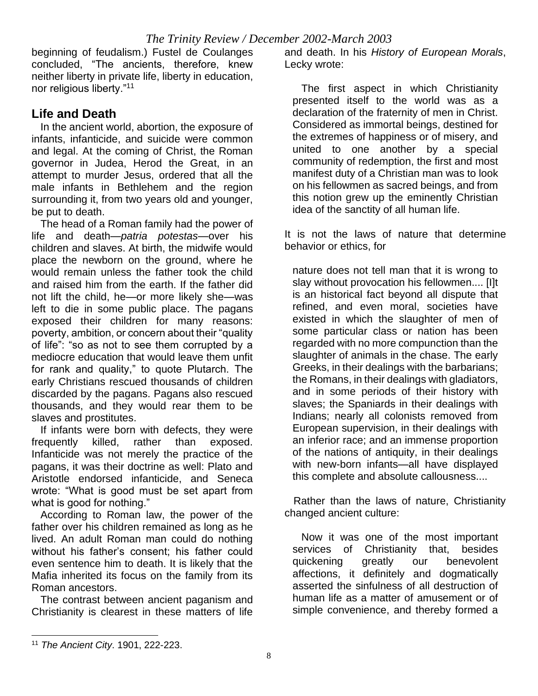beginning of feudalism.) Fustel de Coulanges concluded, "The ancients, therefore, knew neither liberty in private life, liberty in education, nor religious liberty."<sup>11</sup>

### **Life and Death**

 In the ancient world, abortion, the exposure of infants, infanticide, and suicide were common and legal. At the coming of Christ, the Roman governor in Judea, Herod the Great, in an attempt to murder Jesus, ordered that all the male infants in Bethlehem and the region surrounding it, from two years old and younger, be put to death.

 The head of a Roman family had the power of life and death—*patria potestas*—over his children and slaves. At birth, the midwife would place the newborn on the ground, where he would remain unless the father took the child and raised him from the earth. If the father did not lift the child, he—or more likely she—was left to die in some public place. The pagans exposed their children for many reasons: poverty, ambition, or concern about their "quality of life": "so as not to see them corrupted by a mediocre education that would leave them unfit for rank and quality," to quote Plutarch. The early Christians rescued thousands of children discarded by the pagans. Pagans also rescued thousands, and they would rear them to be slaves and prostitutes.

 If infants were born with defects, they were frequently killed, rather than exposed. Infanticide was not merely the practice of the pagans, it was their doctrine as well: Plato and Aristotle endorsed infanticide, and Seneca wrote: "What is good must be set apart from what is good for nothing."

 According to Roman law, the power of the father over his children remained as long as he lived. An adult Roman man could do nothing without his father's consent; his father could even sentence him to death. It is likely that the Mafia inherited its focus on the family from its Roman ancestors.

 The contrast between ancient paganism and Christianity is clearest in these matters of life

and death. In his *History of European Morals*, Lecky wrote:

 The first aspect in which Christianity presented itself to the world was as a declaration of the fraternity of men in Christ. Considered as immortal beings, destined for the extremes of happiness or of misery, and united to one another by a special community of redemption, the first and most manifest duty of a Christian man was to look on his fellowmen as sacred beings, and from this notion grew up the eminently Christian idea of the sanctity of all human life.

It is not the laws of nature that determine behavior or ethics, for

nature does not tell man that it is wrong to slay without provocation his fellowmen.... [I]t is an historical fact beyond all dispute that refined, and even moral, societies have existed in which the slaughter of men of some particular class or nation has been regarded with no more compunction than the slaughter of animals in the chase. The early Greeks, in their dealings with the barbarians; the Romans, in their dealings with gladiators, and in some periods of their history with slaves; the Spaniards in their dealings with Indians; nearly all colonists removed from European supervision, in their dealings with an inferior race; and an immense proportion of the nations of antiquity, in their dealings with new-born infants—all have displayed this complete and absolute callousness....

 Rather than the laws of nature, Christianity changed ancient culture:

 Now it was one of the most important services of Christianity that, besides quickening greatly our benevolent affections, it definitely and dogmatically asserted the sinfulness of all destruction of human life as a matter of amusement or of simple convenience, and thereby formed a

<sup>11</sup> *The Ancient City*. 1901, 222-223.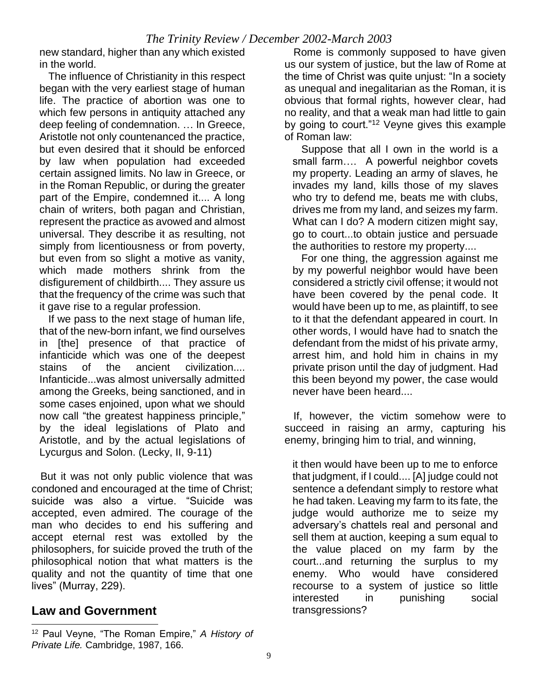new standard, higher than any which existed in the world.

 The influence of Christianity in this respect began with the very earliest stage of human life. The practice of abortion was one to which few persons in antiquity attached any deep feeling of condemnation. … In Greece, Aristotle not only countenanced the practice, but even desired that it should be enforced by law when population had exceeded certain assigned limits. No law in Greece, or in the Roman Republic, or during the greater part of the Empire, condemned it.... A long chain of writers, both pagan and Christian, represent the practice as avowed and almost universal. They describe it as resulting, not simply from licentiousness or from poverty, but even from so slight a motive as vanity, which made mothers shrink from the disfigurement of childbirth.... They assure us that the frequency of the crime was such that it gave rise to a regular profession.

 If we pass to the next stage of human life, that of the new-born infant, we find ourselves in [the] presence of that practice of infanticide which was one of the deepest stains of the ancient civilization.... Infanticide...was almost universally admitted among the Greeks, being sanctioned, and in some cases enjoined, upon what we should now call "the greatest happiness principle," by the ideal legislations of Plato and Aristotle, and by the actual legislations of Lycurgus and Solon. (Lecky, II, 9-11)

 But it was not only public violence that was condoned and encouraged at the time of Christ; suicide was also a virtue. "Suicide was accepted, even admired. The courage of the man who decides to end his suffering and accept eternal rest was extolled by the philosophers, for suicide proved the truth of the philosophical notion that what matters is the quality and not the quantity of time that one lives" (Murray, 229).

# **Law and Government**

 Rome is commonly supposed to have given us our system of justice, but the law of Rome at the time of Christ was quite unjust: "In a society as unequal and inegalitarian as the Roman, it is obvious that formal rights, however clear, had no reality, and that a weak man had little to gain by going to court."<sup>12</sup> Veyne gives this example of Roman law:

 Suppose that all I own in the world is a small farm…. A powerful neighbor covets my property. Leading an army of slaves, he invades my land, kills those of my slaves who try to defend me, beats me with clubs, drives me from my land, and seizes my farm. What can I do? A modern citizen might say, go to court...to obtain justice and persuade the authorities to restore my property....

 For one thing, the aggression against me by my powerful neighbor would have been considered a strictly civil offense; it would not have been covered by the penal code. It would have been up to me, as plaintiff, to see to it that the defendant appeared in court. In other words, I would have had to snatch the defendant from the midst of his private army, arrest him, and hold him in chains in my private prison until the day of judgment. Had this been beyond my power, the case would never have been heard....

 If, however, the victim somehow were to succeed in raising an army, capturing his enemy, bringing him to trial, and winning,

it then would have been up to me to enforce that judgment, if I could.... [A] judge could not sentence a defendant simply to restore what he had taken. Leaving my farm to its fate, the judge would authorize me to seize my adversary's chattels real and personal and sell them at auction, keeping a sum equal to the value placed on my farm by the court...and returning the surplus to my enemy. Who would have considered recourse to a system of justice so little interested in punishing social transgressions?

<sup>12</sup> Paul Veyne, "The Roman Empire," *A History of Private Life.* Cambridge, 1987, 166.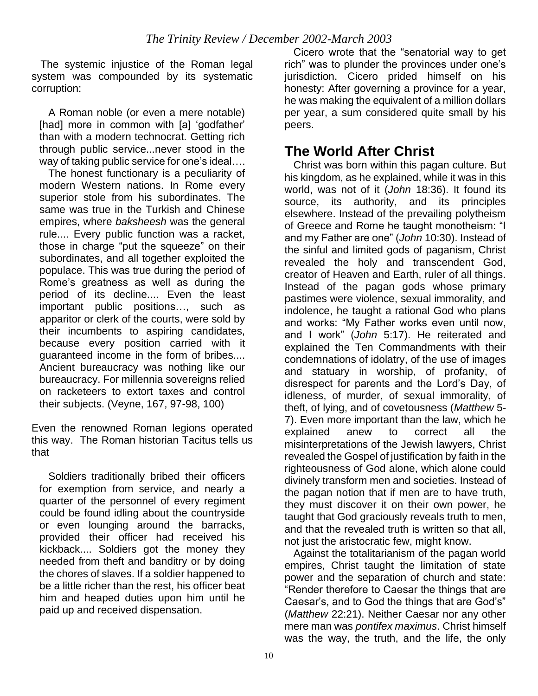The systemic injustice of the Roman legal system was compounded by its systematic corruption:

 A Roman noble (or even a mere notable) [had] more in common with [a] 'godfather' than with a modern technocrat. Getting rich through public service...never stood in the way of taking public service for one's ideal….

 The honest functionary is a peculiarity of modern Western nations. In Rome every superior stole from his subordinates. The same was true in the Turkish and Chinese empires, where *baksheesh* was the general rule.... Every public function was a racket, those in charge "put the squeeze" on their subordinates, and all together exploited the populace. This was true during the period of Rome's greatness as well as during the period of its decline.... Even the least important public positions…, such as apparitor or clerk of the courts, were sold by their incumbents to aspiring candidates, because every position carried with it guaranteed income in the form of bribes.... Ancient bureaucracy was nothing like our bureaucracy. For millennia sovereigns relied on racketeers to extort taxes and control their subjects. (Veyne, 167, 97-98, 100)

Even the renowned Roman legions operated this way. The Roman historian Tacitus tells us that

 Soldiers traditionally bribed their officers for exemption from service, and nearly a quarter of the personnel of every regiment could be found idling about the countryside or even lounging around the barracks, provided their officer had received his kickback.... Soldiers got the money they needed from theft and banditry or by doing the chores of slaves. If a soldier happened to be a little richer than the rest, his officer beat him and heaped duties upon him until he paid up and received dispensation.

 Cicero wrote that the "senatorial way to get rich" was to plunder the provinces under one's jurisdiction. Cicero prided himself on his honesty: After governing a province for a year, he was making the equivalent of a million dollars per year, a sum considered quite small by his peers.

# **The World After Christ**

 Christ was born within this pagan culture. But his kingdom, as he explained, while it was in this world, was not of it (*John* 18:36). It found its source, its authority, and its principles elsewhere. Instead of the prevailing polytheism of Greece and Rome he taught monotheism: "I and my Father are one" (*John* 10:30). Instead of the sinful and limited gods of paganism, Christ revealed the holy and transcendent God, creator of Heaven and Earth, ruler of all things. Instead of the pagan gods whose primary pastimes were violence, sexual immorality, and indolence, he taught a rational God who plans and works: "My Father works even until now, and I work" (*John* 5:17). He reiterated and explained the Ten Commandments with their condemnations of idolatry, of the use of images and statuary in worship, of profanity, of disrespect for parents and the Lord's Day, of idleness, of murder, of sexual immorality, of theft, of lying, and of covetousness (*Matthew* 5- 7). Even more important than the law, which he explained anew to correct all the misinterpretations of the Jewish lawyers, Christ revealed the Gospel of justification by faith in the righteousness of God alone, which alone could divinely transform men and societies. Instead of the pagan notion that if men are to have truth, they must discover it on their own power, he taught that God graciously reveals truth to men, and that the revealed truth is written so that all, not just the aristocratic few, might know.

 Against the totalitarianism of the pagan world empires, Christ taught the limitation of state power and the separation of church and state: "Render therefore to Caesar the things that are Caesar's, and to God the things that are God's" (*Matthew* 22:21). Neither Caesar nor any other mere man was *pontifex maximus*. Christ himself was the way, the truth, and the life, the only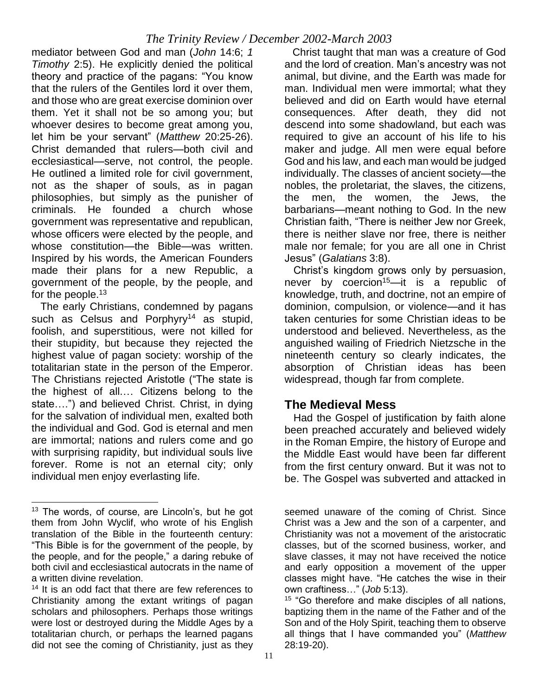mediator between God and man (*John* 14:6; *1 Timothy* 2:5). He explicitly denied the political theory and practice of the pagans: "You know that the rulers of the Gentiles lord it over them, and those who are great exercise dominion over them. Yet it shall not be so among you; but whoever desires to become great among you, let him be your servant" (*Matthew* 20:25-26). Christ demanded that rulers—both civil and ecclesiastical—serve, not control, the people. He outlined a limited role for civil government, not as the shaper of souls, as in pagan philosophies, but simply as the punisher of criminals. He founded a church whose government was representative and republican, whose officers were elected by the people, and whose constitution—the Bible—was written. Inspired by his words, the American Founders made their plans for a new Republic, a government of the people, by the people, and for the people.<sup>13</sup>

 The early Christians, condemned by pagans such as Celsus and Porphyry<sup>14</sup> as stupid, foolish, and superstitious, were not killed for their stupidity, but because they rejected the highest value of pagan society: worship of the totalitarian state in the person of the Emperor. The Christians rejected Aristotle ("The state is the highest of all.… Citizens belong to the state….") and believed Christ. Christ, in dying for the salvation of individual men, exalted both the individual and God. God is eternal and men are immortal; nations and rulers come and go with surprising rapidity, but individual souls live forever. Rome is not an eternal city; only individual men enjoy everlasting life.

 Christ taught that man was a creature of God and the lord of creation. Man's ancestry was not animal, but divine, and the Earth was made for man. Individual men were immortal; what they believed and did on Earth would have eternal consequences. After death, they did not descend into some shadowland, but each was required to give an account of his life to his maker and judge. All men were equal before God and his law, and each man would be judged individually. The classes of ancient society—the nobles, the proletariat, the slaves, the citizens, the men, the women, the Jews, the barbarians—meant nothing to God. In the new Christian faith, "There is neither Jew nor Greek, there is neither slave nor free, there is neither male nor female; for you are all one in Christ Jesus" (*Galatians* 3:8).

 Christ's kingdom grows only by persuasion, never by coercion<sup>15</sup>—it is a republic of knowledge, truth, and doctrine, not an empire of dominion, compulsion, or violence—and it has taken centuries for some Christian ideas to be understood and believed. Nevertheless, as the anguished wailing of Friedrich Nietzsche in the nineteenth century so clearly indicates, the absorption of Christian ideas has been widespread, though far from complete.

#### **The Medieval Mess**

 Had the Gospel of justification by faith alone been preached accurately and believed widely in the Roman Empire, the history of Europe and the Middle East would have been far different from the first century onward. But it was not to be. The Gospel was subverted and attacked in

<sup>&</sup>lt;sup>13</sup> The words, of course, are Lincoln's, but he got them from John Wyclif, who wrote of his English translation of the Bible in the fourteenth century: "This Bible is for the government of the people, by the people, and for the people," a daring rebuke of both civil and ecclesiastical autocrats in the name of a written divine revelation.

<sup>&</sup>lt;sup>14</sup> It is an odd fact that there are few references to Christianity among the extant writings of pagan scholars and philosophers. Perhaps those writings were lost or destroyed during the Middle Ages by a totalitarian church, or perhaps the learned pagans did not see the coming of Christianity, just as they

seemed unaware of the coming of Christ. Since Christ was a Jew and the son of a carpenter, and Christianity was not a movement of the aristocratic classes, but of the scorned business, worker, and slave classes, it may not have received the notice and early opposition a movement of the upper classes might have. "He catches the wise in their own craftiness…" (*Job* 5:13).

<sup>&</sup>lt;sup>15</sup> "Go therefore and make disciples of all nations. baptizing them in the name of the Father and of the Son and of the Holy Spirit, teaching them to observe all things that I have commanded you" (*Matthew* 28:19-20).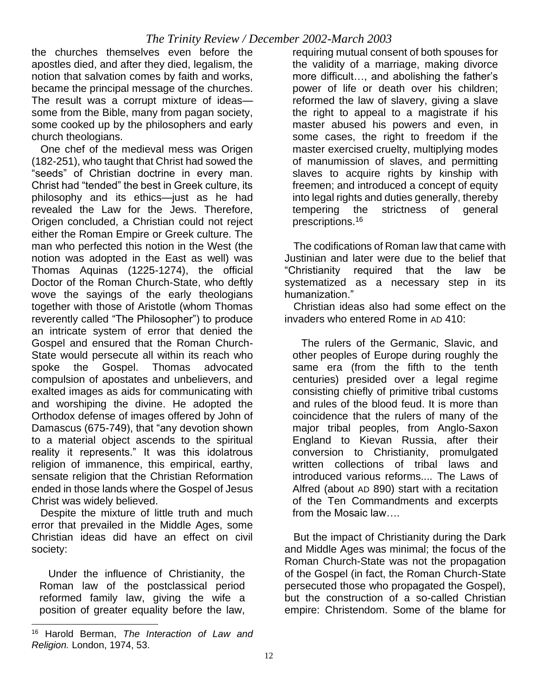the churches themselves even before the apostles died, and after they died, legalism, the notion that salvation comes by faith and works, became the principal message of the churches. The result was a corrupt mixture of ideas some from the Bible, many from pagan society, some cooked up by the philosophers and early church theologians.

 One chef of the medieval mess was Origen (182-251), who taught that Christ had sowed the "seeds" of Christian doctrine in every man. Christ had "tended" the best in Greek culture, its philosophy and its ethics—just as he had revealed the Law for the Jews. Therefore, Origen concluded, a Christian could not reject either the Roman Empire or Greek culture. The man who perfected this notion in the West (the notion was adopted in the East as well) was Thomas Aquinas (1225-1274), the official Doctor of the Roman Church-State, who deftly wove the sayings of the early theologians together with those of Aristotle (whom Thomas reverently called "The Philosopher") to produce an intricate system of error that denied the Gospel and ensured that the Roman Church-State would persecute all within its reach who spoke the Gospel. Thomas advocated compulsion of apostates and unbelievers, and exalted images as aids for communicating with and worshiping the divine. He adopted the Orthodox defense of images offered by John of Damascus (675-749), that "any devotion shown to a material object ascends to the spiritual reality it represents." It was this idolatrous religion of immanence, this empirical, earthy, sensate religion that the Christian Reformation ended in those lands where the Gospel of Jesus Christ was widely believed.

 Despite the mixture of little truth and much error that prevailed in the Middle Ages, some Christian ideas did have an effect on civil society:

 Under the influence of Christianity, the Roman law of the postclassical period reformed family law, giving the wife a position of greater equality before the law, requiring mutual consent of both spouses for the validity of a marriage, making divorce more difficult…, and abolishing the father's power of life or death over his children; reformed the law of slavery, giving a slave the right to appeal to a magistrate if his master abused his powers and even, in some cases, the right to freedom if the master exercised cruelty, multiplying modes of manumission of slaves, and permitting slaves to acquire rights by kinship with freemen; and introduced a concept of equity into legal rights and duties generally, thereby tempering the strictness of general prescriptions.<sup>16</sup>

 The codifications of Roman law that came with Justinian and later were due to the belief that "Christianity required that the law be systematized as a necessary step in its humanization."

 Christian ideas also had some effect on the invaders who entered Rome in AD 410:

 The rulers of the Germanic, Slavic, and other peoples of Europe during roughly the same era (from the fifth to the tenth centuries) presided over a legal regime consisting chiefly of primitive tribal customs and rules of the blood feud. It is more than coincidence that the rulers of many of the major tribal peoples, from Anglo-Saxon England to Kievan Russia, after their conversion to Christianity, promulgated written collections of tribal laws and introduced various reforms.... The Laws of Alfred (about AD 890) start with a recitation of the Ten Commandments and excerpts from the Mosaic law....

 But the impact of Christianity during the Dark and Middle Ages was minimal; the focus of the Roman Church-State was not the propagation of the Gospel (in fact, the Roman Church-State persecuted those who propagated the Gospel), but the construction of a so-called Christian empire: Christendom. Some of the blame for

<sup>16</sup> Harold Berman, *The Interaction of Law and Religion.* London, 1974, 53.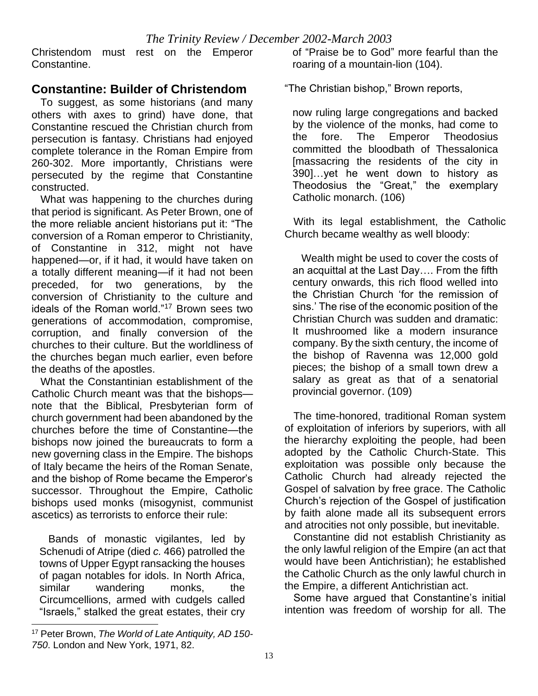Christendom must rest on the Emperor Constantine.

#### **Constantine: Builder of Christendom**

 To suggest, as some historians (and many others with axes to grind) have done, that Constantine rescued the Christian church from persecution is fantasy. Christians had enjoyed complete tolerance in the Roman Empire from 260-302. More importantly, Christians were persecuted by the regime that Constantine constructed.

 What was happening to the churches during that period is significant. As Peter Brown, one of the more reliable ancient historians put it: "The conversion of a Roman emperor to Christianity, of Constantine in 312, might not have happened—or, if it had, it would have taken on a totally different meaning—if it had not been preceded, for two generations, by the conversion of Christianity to the culture and ideals of the Roman world."<sup>17</sup> Brown sees two generations of accommodation, compromise, corruption, and finally conversion of the churches to their culture. But the worldliness of the churches began much earlier, even before the deaths of the apostles.

 What the Constantinian establishment of the Catholic Church meant was that the bishops note that the Biblical, Presbyterian form of church government had been abandoned by the churches before the time of Constantine—the bishops now joined the bureaucrats to form a new governing class in the Empire. The bishops of Italy became the heirs of the Roman Senate, and the bishop of Rome became the Emperor's successor. Throughout the Empire, Catholic bishops used monks (misogynist, communist ascetics) as terrorists to enforce their rule:

 Bands of monastic vigilantes, led by Schenudi of Atripe (died *c.* 466) patrolled the towns of Upper Egypt ransacking the houses of pagan notables for idols. In North Africa, similar wandering monks, the Circumcellions, armed with cudgels called "Israels," stalked the great estates, their cry of "Praise be to God" more fearful than the roaring of a mountain-lion (104).

"The Christian bishop," Brown reports,

now ruling large congregations and backed by the violence of the monks, had come to the fore. The Emperor Theodosius committed the bloodbath of Thessalonica [massacring the residents of the city in 390]…yet he went down to history as Theodosius the "Great," the exemplary Catholic monarch. (106)

 With its legal establishment, the Catholic Church became wealthy as well bloody:

 Wealth might be used to cover the costs of an acquittal at the Last Day…. From the fifth century onwards, this rich flood welled into the Christian Church 'for the remission of sins.' The rise of the economic position of the Christian Church was sudden and dramatic: It mushroomed like a modern insurance company. By the sixth century, the income of the bishop of Ravenna was 12,000 gold pieces; the bishop of a small town drew a salary as great as that of a senatorial provincial governor. (109)

 The time-honored, traditional Roman system of exploitation of inferiors by superiors, with all the hierarchy exploiting the people, had been adopted by the Catholic Church-State. This exploitation was possible only because the Catholic Church had already rejected the Gospel of salvation by free grace. The Catholic Church's rejection of the Gospel of justification by faith alone made all its subsequent errors and atrocities not only possible, but inevitable.

 Constantine did not establish Christianity as the only lawful religion of the Empire (an act that would have been Antichristian); he established the Catholic Church as the only lawful church in the Empire, a different Antichristian act.

 Some have argued that Constantine's initial intention was freedom of worship for all. The

<sup>17</sup> Peter Brown, *The World of Late Antiquity, AD 150- 750*. London and New York, 1971, 82.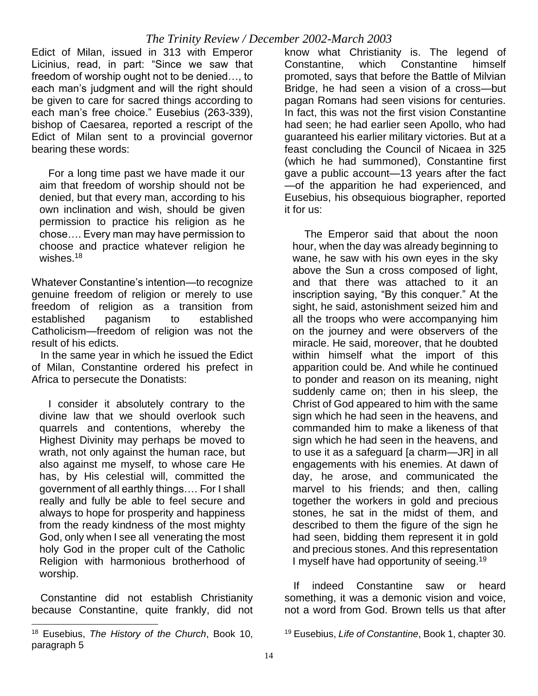Edict of Milan, issued in 313 with Emperor Licinius, read, in part: "Since we saw that freedom of worship ought not to be denied…, to each man's judgment and will the right should be given to care for sacred things according to each man's free choice." Eusebius (263-339), bishop of Caesarea, reported a rescript of the Edict of Milan sent to a provincial governor bearing these words:

 For a long time past we have made it our aim that freedom of worship should not be denied, but that every man, according to his own inclination and wish, should be given permission to practice his religion as he chose…. Every man may have permission to choose and practice whatever religion he wishes. $18$ 

Whatever Constantine's intention—to recognize genuine freedom of religion or merely to use freedom of religion as a transition from established paganism to established Catholicism—freedom of religion was not the result of his edicts.

 In the same year in which he issued the Edict of Milan, Constantine ordered his prefect in Africa to persecute the Donatists:

 I consider it absolutely contrary to the divine law that we should overlook such quarrels and contentions, whereby the Highest Divinity may perhaps be moved to wrath, not only against the human race, but also against me myself, to whose care He has, by His celestial will, committed the government of all earthly things…. For I shall really and fully be able to feel secure and always to hope for prosperity and happiness from the ready kindness of the most mighty God, only when I see all venerating the most holy God in the proper cult of the Catholic Religion with harmonious brotherhood of worship.

 Constantine did not establish Christianity because Constantine, quite frankly, did not know what Christianity is. The legend of Constantine, which Constantine himself promoted, says that before the Battle of Milvian Bridge, he had seen a vision of a cross—but pagan Romans had seen visions for centuries. In fact, this was not the first vision Constantine had seen; he had earlier seen Apollo, who had guaranteed his earlier military victories. But at a feast concluding the Council of Nicaea in 325 (which he had summoned), Constantine first gave a public account—13 years after the fact —of the apparition he had experienced, and Eusebius, his obsequious biographer, reported it for us:

 The Emperor said that about the noon hour, when the day was already beginning to wane, he saw with his own eyes in the sky above the Sun a cross composed of light, and that there was attached to it an inscription saying, "By this conquer." At the sight, he said, astonishment seized him and all the troops who were accompanying him on the journey and were observers of the miracle. He said, moreover, that he doubted within himself what the import of this apparition could be. And while he continued to ponder and reason on its meaning, night suddenly came on; then in his sleep, the Christ of God appeared to him with the same sign which he had seen in the heavens, and commanded him to make a likeness of that sign which he had seen in the heavens, and to use it as a safeguard [a charm—JR] in all engagements with his enemies. At dawn of day, he arose, and communicated the marvel to his friends; and then, calling together the workers in gold and precious stones, he sat in the midst of them, and described to them the figure of the sign he had seen, bidding them represent it in gold and precious stones. And this representation I myself have had opportunity of seeing.<sup>19</sup>

 If indeed Constantine saw or heard something, it was a demonic vision and voice, not a word from God. Brown tells us that after

<sup>18</sup> Eusebius, *The History of the Church*, Book 10, paragraph 5

<sup>19</sup> Eusebius, *Life of Constantine*, Book 1, chapter 30.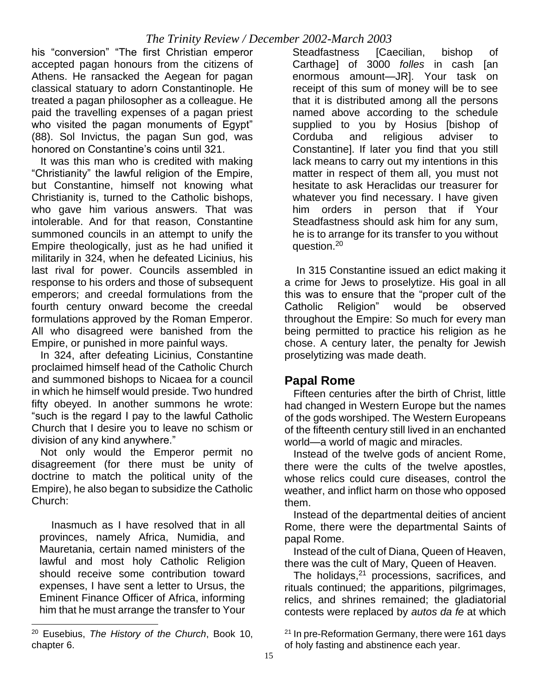his "conversion" "The first Christian emperor accepted pagan honours from the citizens of Athens. He ransacked the Aegean for pagan classical statuary to adorn Constantinople. He treated a pagan philosopher as a colleague. He paid the travelling expenses of a pagan priest who visited the pagan monuments of Egypt" (88). Sol Invictus, the pagan Sun god, was honored on Constantine's coins until 321.

 It was this man who is credited with making "Christianity" the lawful religion of the Empire, but Constantine, himself not knowing what Christianity is, turned to the Catholic bishops, who gave him various answers. That was intolerable. And for that reason, Constantine summoned councils in an attempt to unify the Empire theologically, just as he had unified it militarily in 324, when he defeated Licinius, his last rival for power. Councils assembled in response to his orders and those of subsequent emperors; and creedal formulations from the fourth century onward become the creedal formulations approved by the Roman Emperor. All who disagreed were banished from the Empire, or punished in more painful ways.

 In 324, after defeating Licinius, Constantine proclaimed himself head of the Catholic Church and summoned bishops to Nicaea for a council in which he himself would preside. Two hundred fifty obeyed. In another summons he wrote: "such is the regard I pay to the lawful Catholic Church that I desire you to leave no schism or division of any kind anywhere."

 Not only would the Emperor permit no disagreement (for there must be unity of doctrine to match the political unity of the Empire), he also began to subsidize the Catholic Church:

 Inasmuch as I have resolved that in all provinces, namely Africa, Numidia, and Mauretania, certain named ministers of the lawful and most holy Catholic Religion should receive some contribution toward expenses, I have sent a letter to Ursus, the Eminent Finance Officer of Africa, informing him that he must arrange the transfer to Your

Steadfastness [Caecilian, bishop of Carthage] of 3000 *folles* in cash [an enormous amount—JR]. Your task on receipt of this sum of money will be to see that it is distributed among all the persons named above according to the schedule supplied to you by Hosius [bishop of Corduba and religious adviser to Constantine]. If later you find that you still lack means to carry out my intentions in this matter in respect of them all, you must not hesitate to ask Heraclidas our treasurer for whatever you find necessary. I have given him orders in person that if Your Steadfastness should ask him for any sum, he is to arrange for its transfer to you without question.<sup>20</sup>

 In 315 Constantine issued an edict making it a crime for Jews to proselytize. His goal in all this was to ensure that the "proper cult of the Catholic Religion" would be observed throughout the Empire: So much for every man being permitted to practice his religion as he chose. A century later, the penalty for Jewish proselytizing was made death.

#### **Papal Rome**

 Fifteen centuries after the birth of Christ, little had changed in Western Europe but the names of the gods worshiped. The Western Europeans of the fifteenth century still lived in an enchanted world—a world of magic and miracles.

 Instead of the twelve gods of ancient Rome, there were the cults of the twelve apostles, whose relics could cure diseases, control the weather, and inflict harm on those who opposed them.

 Instead of the departmental deities of ancient Rome, there were the departmental Saints of papal Rome.

 Instead of the cult of Diana, Queen of Heaven, there was the cult of Mary, Queen of Heaven.

The holidays, $21$  processions, sacrifices, and rituals continued; the apparitions, pilgrimages, relics, and shrines remained; the gladiatorial contests were replaced by *autos da fe* at which

 $21$  In pre-Reformation Germany, there were 161 days of holy fasting and abstinence each year.

<sup>20</sup> Eusebius, *The History of the Church*, Book 10, chapter 6.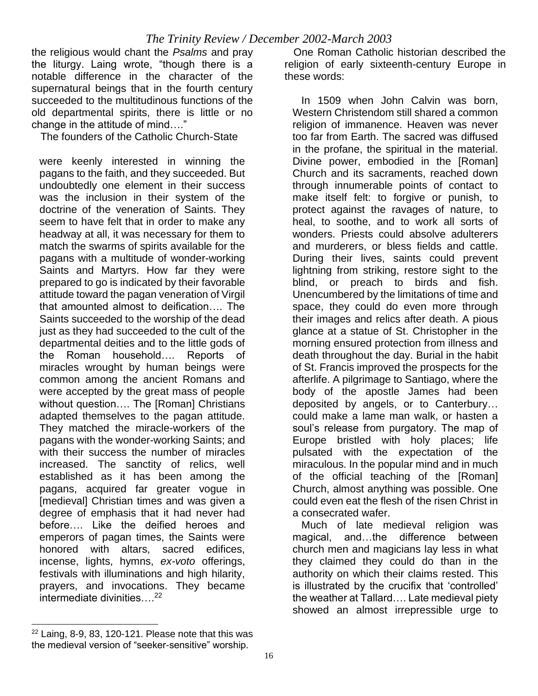the religious would chant the *Psalms* and pray the liturgy. Laing wrote, "though there is a notable difference in the character of the supernatural beings that in the fourth century succeeded to the multitudinous functions of the old departmental spirits, there is little or no change in the attitude of mind…."

The founders of the Catholic Church-State

were keenly interested in winning the pagans to the faith, and they succeeded. But undoubtedly one element in their success was the inclusion in their system of the doctrine of the veneration of Saints. They seem to have felt that in order to make any headway at all, it was necessary for them to match the swarms of spirits available for the pagans with a multitude of wonder-working Saints and Martyrs. How far they were prepared to go is indicated by their favorable attitude toward the pagan veneration of Virgil that amounted almost to deification…. The Saints succeeded to the worship of the dead just as they had succeeded to the cult of the departmental deities and to the little gods of the Roman household…. Reports of miracles wrought by human beings were common among the ancient Romans and were accepted by the great mass of people without question…. The [Roman] Christians adapted themselves to the pagan attitude. They matched the miracle-workers of the pagans with the wonder-working Saints; and with their success the number of miracles increased. The sanctity of relics, well established as it has been among the pagans, acquired far greater vogue in [medieval] Christian times and was given a degree of emphasis that it had never had before…. Like the deified heroes and emperors of pagan times, the Saints were honored with altars, sacred edifices, incense, lights, hymns, *ex-voto* offerings, festivals with illuminations and high hilarity, prayers, and invocations. They became intermediate divinities….<sup>22</sup>

 One Roman Catholic historian described the religion of early sixteenth-century Europe in these words:

 In 1509 when John Calvin was born, Western Christendom still shared a common religion of immanence. Heaven was never too far from Earth. The sacred was diffused in the profane, the spiritual in the material. Divine power, embodied in the [Roman] Church and its sacraments, reached down through innumerable points of contact to make itself felt: to forgive or punish, to protect against the ravages of nature, to heal, to soothe, and to work all sorts of wonders. Priests could absolve adulterers and murderers, or bless fields and cattle. During their lives, saints could prevent lightning from striking, restore sight to the blind, or preach to birds and fish. Unencumbered by the limitations of time and space, they could do even more through their images and relics after death. A pious glance at a statue of St. Christopher in the morning ensured protection from illness and death throughout the day. Burial in the habit of St. Francis improved the prospects for the afterlife. A pilgrimage to Santiago, where the body of the apostle James had been deposited by angels, or to Canterbury… could make a lame man walk, or hasten a soul's release from purgatory. The map of Europe bristled with holy places; life pulsated with the expectation of the miraculous. In the popular mind and in much of the official teaching of the [Roman] Church, almost anything was possible. One could even eat the flesh of the risen Christ in a consecrated wafer.

 Much of late medieval religion was magical, and…the difference between church men and magicians lay less in what they claimed they could do than in the authority on which their claims rested. This is illustrated by the crucifix that 'controlled' the weather at Tallard…. Late medieval piety showed an almost irrepressible urge to

 $22$  Laing, 8-9, 83, 120-121. Please note that this was the medieval version of "seeker-sensitive" worship.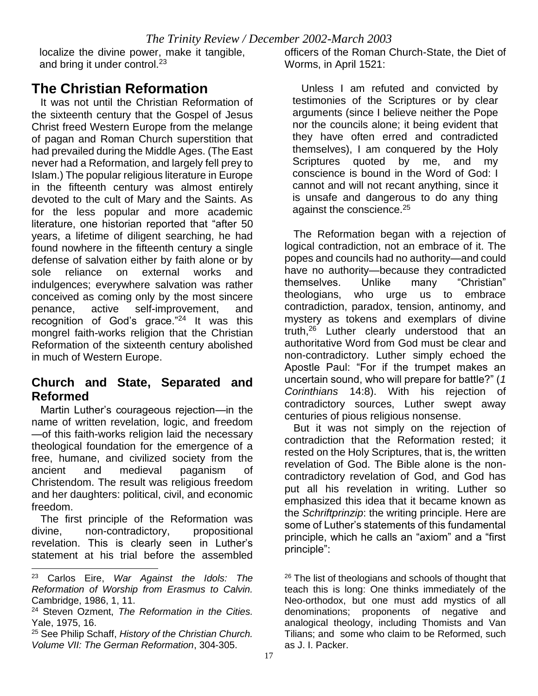localize the divine power, make it tangible, and bring it under control.<sup>23</sup>

# **The Christian Reformation**

 It was not until the Christian Reformation of the sixteenth century that the Gospel of Jesus Christ freed Western Europe from the melange of pagan and Roman Church superstition that had prevailed during the Middle Ages. (The East never had a Reformation, and largely fell prey to Islam.) The popular religious literature in Europe in the fifteenth century was almost entirely devoted to the cult of Mary and the Saints. As for the less popular and more academic literature, one historian reported that "after 50 years, a lifetime of diligent searching, he had found nowhere in the fifteenth century a single defense of salvation either by faith alone or by sole reliance on external works and indulgences; everywhere salvation was rather conceived as coming only by the most sincere penance, active self-improvement, and recognition of God's grace."<sup>24</sup> It was this mongrel faith-works religion that the Christian Reformation of the sixteenth century abolished in much of Western Europe.

#### **Church and State, Separated and Reformed**

 Martin Luther's courageous rejection—in the name of written revelation, logic, and freedom —of this faith-works religion laid the necessary theological foundation for the emergence of a free, humane, and civilized society from the ancient and medieval paganism of Christendom. The result was religious freedom and her daughters: political, civil, and economic freedom.

 The first principle of the Reformation was divine, non-contradictory, propositional revelation. This is clearly seen in Luther's statement at his trial before the assembled officers of the Roman Church-State, the Diet of Worms, in April 1521:

 Unless I am refuted and convicted by testimonies of the Scriptures or by clear arguments (since I believe neither the Pope nor the councils alone; it being evident that they have often erred and contradicted themselves), I am conquered by the Holy Scriptures quoted by me, and my conscience is bound in the Word of God: I cannot and will not recant anything, since it is unsafe and dangerous to do any thing against the conscience.<sup>25</sup>

 The Reformation began with a rejection of logical contradiction, not an embrace of it. The popes and councils had no authority—and could have no authority—because they contradicted themselves. Unlike many "Christian" theologians, who urge us to embrace contradiction, paradox, tension, antinomy, and mystery as tokens and exemplars of divine truth,<sup>26</sup> Luther clearly understood that an authoritative Word from God must be clear and non-contradictory. Luther simply echoed the Apostle Paul: "For if the trumpet makes an uncertain sound, who will prepare for battle?" (*1 Corinthians* 14:8). With his rejection of contradictory sources, Luther swept away centuries of pious religious nonsense.

 But it was not simply on the rejection of contradiction that the Reformation rested; it rested on the Holy Scriptures, that is, the written revelation of God. The Bible alone is the noncontradictory revelation of God, and God has put all his revelation in writing. Luther so emphasized this idea that it became known as the *Schriftprinzip*: the writing principle. Here are some of Luther's statements of this fundamental principle, which he calls an "axiom" and a "first principle":

<sup>23</sup> Carlos Eire, *War Against the Idols: The Reformation of Worship from Erasmus to Calvin.* Cambridge, 1986, 1, 11.

<sup>24</sup> Steven Ozment, *The Reformation in the Cities.* Yale, 1975, 16.

<sup>25</sup> See Philip Schaff, *History of the Christian Church. Volume VII: The German Reformation*, 304-305.

 $26$  The list of theologians and schools of thought that teach this is long: One thinks immediately of the Neo-orthodox, but one must add mystics of all denominations; proponents of negative and analogical theology, including Thomists and Van Tilians; and some who claim to be Reformed, such as J. I. Packer.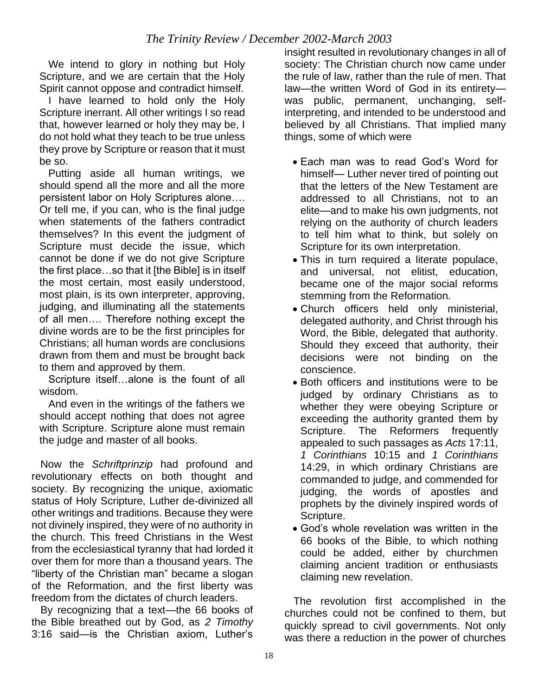We intend to glory in nothing but Holy Scripture, and we are certain that the Holy Spirit cannot oppose and contradict himself.

 I have learned to hold only the Holy Scripture inerrant. All other writings I so read that, however learned or holy they may be, I do not hold what they teach to be true unless they prove by Scripture or reason that it must be so.

 Putting aside all human writings, we should spend all the more and all the more persistent labor on Holy Scriptures alone…. Or tell me, if you can, who is the final judge when statements of the fathers contradict themselves? In this event the judgment of Scripture must decide the issue, which cannot be done if we do not give Scripture the first place…so that it [the Bible] is in itself the most certain, most easily understood, most plain, is its own interpreter, approving, judging, and illuminating all the statements of all men…. Therefore nothing except the divine words are to be the first principles for Christians; all human words are conclusions drawn from them and must be brought back to them and approved by them.

 Scripture itself…alone is the fount of all wisdom.

 And even in the writings of the fathers we should accept nothing that does not agree with Scripture. Scripture alone must remain the judge and master of all books.

 Now the *Schriftprinzip* had profound and revolutionary effects on both thought and society. By recognizing the unique, axiomatic status of Holy Scripture, Luther de-divinized all other writings and traditions. Because they were not divinely inspired, they were of no authority in the church. This freed Christians in the West from the ecclesiastical tyranny that had lorded it over them for more than a thousand years. The "liberty of the Christian man" became a slogan of the Reformation, and the first liberty was freedom from the dictates of church leaders.

 By recognizing that a text—the 66 books of the Bible breathed out by God, as *2 Timothy* 3:16 said—is the Christian axiom, Luther's

insight resulted in revolutionary changes in all of society: The Christian church now came under the rule of law, rather than the rule of men. That law—the written Word of God in its entirety was public, permanent, unchanging, selfinterpreting, and intended to be understood and believed by all Christians. That implied many things, some of which were

- Each man was to read God's Word for himself— Luther never tired of pointing out that the letters of the New Testament are addressed to all Christians, not to an elite—and to make his own judgments, not relying on the authority of church leaders to tell him what to think, but solely on Scripture for its own interpretation.
- This in turn required a literate populace, and universal, not elitist, education, became one of the major social reforms stemming from the Reformation.
- Church officers held only ministerial, delegated authority, and Christ through his Word, the Bible, delegated that authority. Should they exceed that authority, their decisions were not binding on the conscience.
- Both officers and institutions were to be judged by ordinary Christians as to whether they were obeying Scripture or exceeding the authority granted them by Scripture. The Reformers frequently appealed to such passages as *Acts* 17:11, *1 Corinthians* 10:15 and *1 Corinthians* 14:29, in which ordinary Christians are commanded to judge, and commended for judging, the words of apostles and prophets by the divinely inspired words of Scripture.
- God's whole revelation was written in the 66 books of the Bible, to which nothing could be added, either by churchmen claiming ancient tradition or enthusiasts claiming new revelation.

 The revolution first accomplished in the churches could not be confined to them, but quickly spread to civil governments. Not only was there a reduction in the power of churches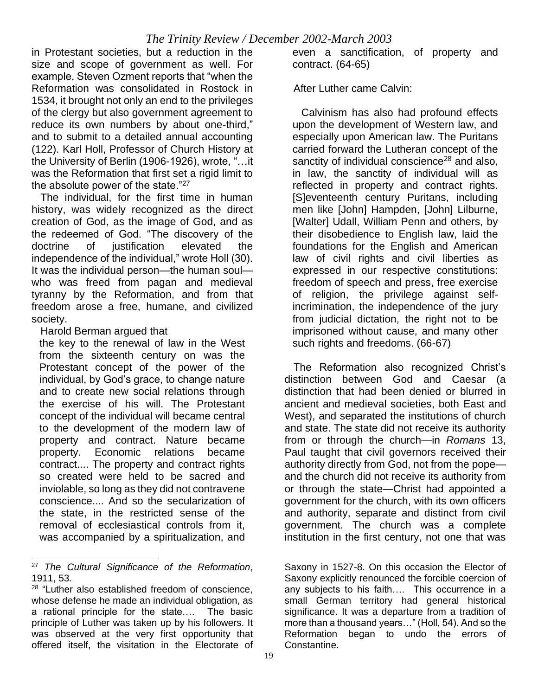in Protestant societies, but a reduction in the size and scope of government as well. For example, Steven Ozment reports that "when the Reformation was consolidated in Rostock in 1534, it brought not only an end to the privileges of the clergy but also government agreement to reduce its own numbers by about one-third," and to submit to a detailed annual accounting (122). Karl Holl, Professor of Church History at the University of Berlin (1906-1926), wrote, "…it was the Reformation that first set a rigid limit to the absolute power of the state."<sup>27</sup>

 The individual, for the first time in human history, was widely recognized as the direct creation of God, as the image of God, and as the redeemed of God. "The discovery of the doctrine of iustification elevated the independence of the individual," wrote Holl (30). It was the individual person—the human soul who was freed from pagan and medieval tyranny by the Reformation, and from that freedom arose a free, humane, and civilized society.

#### Harold Berman argued that

the key to the renewal of law in the West from the sixteenth century on was the Protestant concept of the power of the individual, by God's grace, to change nature and to create new social relations through the exercise of his will. The Protestant concept of the individual will became central to the development of the modern law of property and contract. Nature became property. Economic relations became contract.... The property and contract rights so created were held to be sacred and inviolable, so long as they did not contravene conscience.... And so the secularization of the state, in the restricted sense of the removal of ecclesiastical controls from it, was accompanied by a spiritualization, and

even a sanctification, of property and contract. (64-65)

After Luther came Calvin:

 Calvinism has also had profound effects upon the development of Western law, and especially upon American law. The Puritans carried forward the Lutheran concept of the sanctity of individual conscience<sup>28</sup> and also, in law, the sanctity of individual will as reflected in property and contract rights. [S]eventeenth century Puritans, including men like [John] Hampden, [John] Lilburne, [Walter] Udall, William Penn and others, by their disobedience to English law, laid the foundations for the English and American law of civil rights and civil liberties as expressed in our respective constitutions: freedom of speech and press, free exercise of religion, the privilege against selfincrimination, the independence of the jury from judicial dictation, the right not to be imprisoned without cause, and many other such rights and freedoms. (66-67)

 The Reformation also recognized Christ's distinction between God and Caesar (a distinction that had been denied or blurred in ancient and medieval societies, both East and West), and separated the institutions of church and state. The state did not receive its authority from or through the church—in *Romans* 13, Paul taught that civil governors received their authority directly from God, not from the pope and the church did not receive its authority from or through the state—Christ had appointed a government for the church, with its own officers and authority, separate and distinct from civil government. The church was a complete institution in the first century, not one that was

<sup>27</sup> *The Cultural Significance of the Reformation*, 1911, 53.

<sup>&</sup>lt;sup>28</sup> "Luther also established freedom of conscience, whose defense he made an individual obligation, as a rational principle for the state…. The basic principle of Luther was taken up by his followers. It was observed at the very first opportunity that offered itself, the visitation in the Electorate of

Saxony in 1527-8. On this occasion the Elector of Saxony explicitly renounced the forcible coercion of any subjects to his faith…. This occurrence in a small German territory had general historical significance. It was a departure from a tradition of more than a thousand years…" (Holl, 54). And so the Reformation began to undo the errors of Constantine.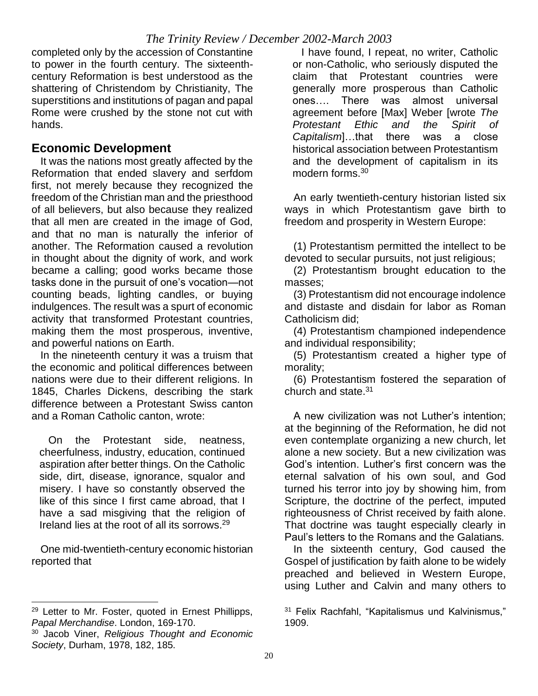completed only by the accession of Constantine to power in the fourth century. The sixteenthcentury Reformation is best understood as the shattering of Christendom by Christianity, The superstitions and institutions of pagan and papal Rome were crushed by the stone not cut with hands.

#### **Economic Development**

 It was the nations most greatly affected by the Reformation that ended slavery and serfdom first, not merely because they recognized the freedom of the Christian man and the priesthood of all believers, but also because they realized that all men are created in the image of God, and that no man is naturally the inferior of another. The Reformation caused a revolution in thought about the dignity of work, and work became a calling; good works became those tasks done in the pursuit of one's vocation—not counting beads, lighting candles, or buying indulgences. The result was a spurt of economic activity that transformed Protestant countries, making them the most prosperous, inventive, and powerful nations on Earth.

 In the nineteenth century it was a truism that the economic and political differences between nations were due to their different religions. In 1845, Charles Dickens, describing the stark difference between a Protestant Swiss canton and a Roman Catholic canton, wrote:

 On the Protestant side, neatness, cheerfulness, industry, education, continued aspiration after better things. On the Catholic side, dirt, disease, ignorance, squalor and misery. I have so constantly observed the like of this since I first came abroad, that I have a sad misgiving that the religion of Ireland lies at the root of all its sorrows.<sup>29</sup>

 One mid-twentieth-century economic historian reported that

 I have found, I repeat, no writer, Catholic or non-Catholic, who seriously disputed the claim that Protestant countries were generally more prosperous than Catholic ones…. There was almost universal agreement before [Max] Weber [wrote *The Protestant Ethic and the Spirit of Capitalism*]…that there was a close historical association between Protestantism and the development of capitalism in its modern forms.<sup>30</sup>

 An early twentieth-century historian listed six ways in which Protestantism gave birth to freedom and prosperity in Western Europe:

 (1) Protestantism permitted the intellect to be devoted to secular pursuits, not just religious;

 (2) Protestantism brought education to the masses;

 (3) Protestantism did not encourage indolence and distaste and disdain for labor as Roman Catholicism did;

 (4) Protestantism championed independence and individual responsibility;

 (5) Protestantism created a higher type of morality;

 (6) Protestantism fostered the separation of church and state. $31$ 

 A new civilization was not Luther's intention; at the beginning of the Reformation, he did not even contemplate organizing a new church, let alone a new society. But a new civilization was God's intention. Luther's first concern was the eternal salvation of his own soul, and God turned his terror into joy by showing him, from Scripture, the doctrine of the perfect, imputed righteousness of Christ received by faith alone. That doctrine was taught especially clearly in Paul's letters to the Romans and the Galatians*.*

 In the sixteenth century, God caused the Gospel of justification by faith alone to be widely preached and believed in Western Europe, using Luther and Calvin and many others to

<sup>&</sup>lt;sup>29</sup> Letter to Mr. Foster, quoted in Ernest Phillipps, *Papal Merchandise*. London, 169-170.

<sup>30</sup> Jacob Viner, *Religious Thought and Economic Society*, Durham, 1978, 182, 185.

<sup>&</sup>lt;sup>31</sup> Felix Rachfahl, "Kapitalismus und Kalvinismus," 1909.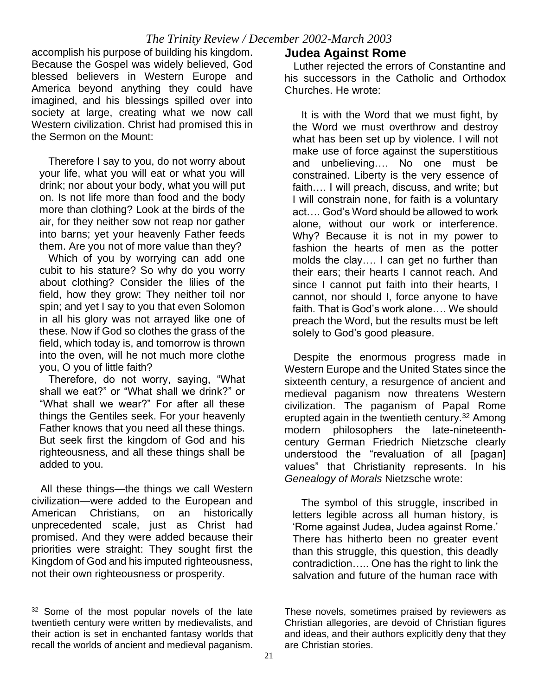accomplish his purpose of building his kingdom. Because the Gospel was widely believed, God blessed believers in Western Europe and America beyond anything they could have imagined, and his blessings spilled over into society at large, creating what we now call Western civilization. Christ had promised this in the Sermon on the Mount:

 Therefore I say to you, do not worry about your life, what you will eat or what you will drink; nor about your body, what you will put on. Is not life more than food and the body more than clothing? Look at the birds of the air, for they neither sow not reap nor gather into barns; yet your heavenly Father feeds them. Are you not of more value than they?

 Which of you by worrying can add one cubit to his stature? So why do you worry about clothing? Consider the lilies of the field, how they grow: They neither toil nor spin; and yet I say to you that even Solomon in all his glory was not arrayed like one of these. Now if God so clothes the grass of the field, which today is, and tomorrow is thrown into the oven, will he not much more clothe you, O you of little faith?

 Therefore, do not worry, saying, "What shall we eat?" or "What shall we drink?" or "What shall we wear?" For after all these things the Gentiles seek. For your heavenly Father knows that you need all these things. But seek first the kingdom of God and his righteousness, and all these things shall be added to you.

 All these things—the things we call Western civilization—were added to the European and American Christians, on an historically unprecedented scale, just as Christ had promised. And they were added because their priorities were straight: They sought first the Kingdom of God and his imputed righteousness, not their own righteousness or prosperity.

#### **Judea Against Rome**

Luther rejected the errors of Constantine and his successors in the Catholic and Orthodox Churches. He wrote:

 It is with the Word that we must fight, by the Word we must overthrow and destroy what has been set up by violence. I will not make use of force against the superstitious and unbelieving…. No one must be constrained. Liberty is the very essence of faith…. I will preach, discuss, and write; but I will constrain none, for faith is a voluntary act…. God's Word should be allowed to work alone, without our work or interference. Why? Because it is not in my power to fashion the hearts of men as the potter molds the clay…. I can get no further than their ears; their hearts I cannot reach. And since I cannot put faith into their hearts, I cannot, nor should I, force anyone to have faith. That is God's work alone…. We should preach the Word, but the results must be left solely to God's good pleasure.

 Despite the enormous progress made in Western Europe and the United States since the sixteenth century, a resurgence of ancient and medieval paganism now threatens Western civilization. The paganism of Papal Rome erupted again in the twentieth century.<sup>32</sup> Among modern philosophers the late-nineteenthcentury German Friedrich Nietzsche clearly understood the "revaluation of all [pagan] values" that Christianity represents. In his *Genealogy of Morals* Nietzsche wrote:

 The symbol of this struggle, inscribed in letters legible across all human history, is 'Rome against Judea, Judea against Rome.' There has hitherto been no greater event than this struggle, this question, this deadly contradiction….. One has the right to link the salvation and future of the human race with

<sup>&</sup>lt;sup>32</sup> Some of the most popular novels of the late twentieth century were written by medievalists, and their action is set in enchanted fantasy worlds that recall the worlds of ancient and medieval paganism.

These novels, sometimes praised by reviewers as Christian allegories, are devoid of Christian figures and ideas, and their authors explicitly deny that they are Christian stories.